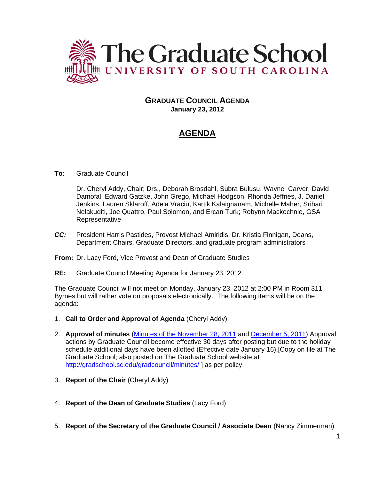

## **GRADUATE COUNCIL AGENDA January 23, 2012**

# **AGENDA**

### **To:** Graduate Council

Dr. Cheryl Addy, Chair; Drs., Deborah Brosdahl, Subra Bulusu, Wayne Carver, David Damofal, Edward Gatzke, John Grego, Michael Hodgson, Rhonda Jeffries, J. Daniel Jenkins, Lauren Sklaroff, Adela Vraciu, Kartik Kalaignanam, Michelle Maher, Srihari Nelakuditi, Joe Quattro, Paul Solomon, and Ercan Turk; Robynn Mackechnie, GSA Representative

- *CC:* President Harris Pastides, Provost Michael Amiridis, Dr. Kristia Finnigan, Deans, Department Chairs, Graduate Directors, and graduate program administrators
- **From:** Dr. Lacy Ford, Vice Provost and Dean of Graduate Studies
- **RE:** Graduate Council Meeting Agenda for January 23, 2012

The Graduate Council will not meet on Monday, January 23, 2012 at 2:00 PM in Room 311 Byrnes but will rather vote on proposals electronically. The following items will be on the agenda:

- 1. **Call to Order and Approval of Agenda** (Cheryl Addy)
- 2. **Approval of minutes** [\(Minutes of the November](http://gradschool.sc.edu/gradcouncil/minutes/GCMinutes112811.pdf) 28, 2011 and [December 5, 2011\)](http://gradschool.sc.edu/gradcouncil/minutes/GCMinutes120511.pdf) Approval actions by Graduate Council become effective 30 days after posting but due to the holiday schedule additional days have been allotted (Effective date January 16).[Copy on file at The Graduate School; also posted on The Graduate School website at <http://gradschool.sc.edu/gradcouncil/minutes/> ] as per policy.
- 3. **Report of the Chair** (Cheryl Addy)
- 4. **Report of the Dean of Graduate Studies** (Lacy Ford)
- 5. **Report of the Secretary of the Graduate Council / Associate Dean** (Nancy Zimmerman)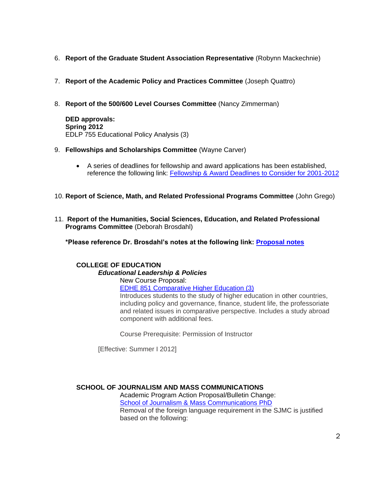- 6. **Report of the Graduate Student Association Representative** (Robynn Mackechnie)
- 7. **Report of the Academic Policy and Practices Committee** (Joseph Quattro)
- 8. **Report of the 500/600 Level Courses Committee** (Nancy Zimmerman)

**DED approvals: Spring 2012** EDLP 755 Educational Policy Analysis (3)

- 9. **Fellowships and Scholarships Committee** (Wayne Carver)
	- A series of deadlines for fellowship and award applications has been established, reference the following link: [Fellowship & Award Deadlines to Consider for 2001-2012](http://gradschool.sc.edu/gradcouncil/docs/Attachments/2011-12_Fellowship_and_Award_Deadlines_(2).pdf)
- 10. **Report of Science, Math, and Related Professional Programs Committee** (John Grego)
- 11. **Report of the Humanities, Social Sciences, Education, and Related Professional Programs Committee** (Deborah Brosdahl)

**\*Please reference Dr. Brosdahl's notes at the following link: [Proposal notes](http://gradschool.sc.edu/gradcouncil/docs/attachments/BrosdahlNOTES01.23.12agenda.pdf)**

### **COLLEGE OF EDUCATION**

*Educational Leadership & Policies*

New Course Proposal:

[EDHE 851 Comparative Higher Education \(3\)](http://gradschool.sc.edu/gradcouncil/curr_docs/NCPEDHE851_201211.pdf)

Introduces students to the study of higher education in other countries, including policy and governance, finance, student life, the professoriate and related issues in comparative perspective. Includes a study abroad component with additional fees.

Course Prerequisite: Permission of Instructor

[Effective: Summer I 2012]

### **SCHOOL OF JOURNALISM AND MASS COMMUNICATIONS**

Academic Program Action Proposal/Bulletin Change: [School of Journalism & Mass Communications PhD](http://gradschool.sc.edu/gradcouncil/curr_docs/APASJMCPHD_201211.pdf) Removal of the foreign language requirement in the SJMC is justified based on the following: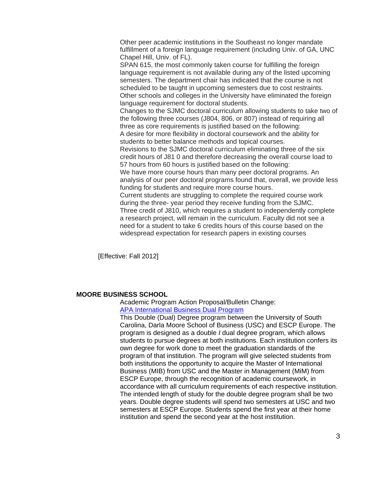Other peer academic institutions in the Southeast no longer mandate fulfillment of a foreign language requirement (including Univ. of GA, UNC Chapel Hill, Univ. of FL).

SPAN 615, the most commonly taken course for fulfilling the foreign language requirement is not available during any of the listed upcoming semesters. The department chair has indicated that the course is not scheduled to be taught in upcoming semesters due to cost restraints. Other schools and colleges in the University have eliminated the foreign language requirement for doctoral students.

Changes to the SJMC doctoral curriculum allowing students to take two of the following three courses (J804, 806, or 807) instead of requiring all three as core requirements is justified based on the following: A desire for more flexibility in doctoral coursework and the ability for

students to better balance methods and topical courses.

Revisions to the SJMC doctoral curriculum eliminating three of the six credit hours of J81 0 and therefore decreasing the overall course load to 57 hours from 60 hours is justified based on the following:

We have more course hours than many peer doctoral programs. An analysis of our peer doctoral programs found that, overall, we provide less funding for students and require more course hours.

Current students are struggling to complete the required course work during the three- year period they receive funding from the SJMC. Three credit of J810, which requires a student to independently complete a research project, will remain in the curriculum. Faculty did not see a need for a student to take 6 credits hours of this course based on the widespread expectation for research papers in existing courses

[Effective: Fall 2012]

### **MOORE BUSINESS SCHOOL**

Academic Program Action Proposal/Bulletin Change: **[APA International Business Dual Program](http://gradschool.sc.edu/gradcouncil/curr_docs/APAIMBADUALDEGREE_201211.pdf)** 

This Double (Dual) Degree program between the University of South Carolina, Darla Moore School of Business (USC) and ESCP Europe. The program is designed as a double *I* dual degree program, which allows students to pursue degrees at both institutions. Each institution confers its own degree for work done to meet the graduation standards of the program of that institution. The program will give selected students from both institutions the opportunity to acquire the Master of lnternational Business (MIB) from USC and the Master in Management (MiM) from ESCP Europe, through the recognition of academic coursework, in accordance with all curriculum requirements of each respective institution. The intended length of study for the double degree program shall be two years. Double degree students will spend two semesters at USC and two semesters at ESCP Europe. Students spend the first year at their home institution and spend the second year at the host institution.